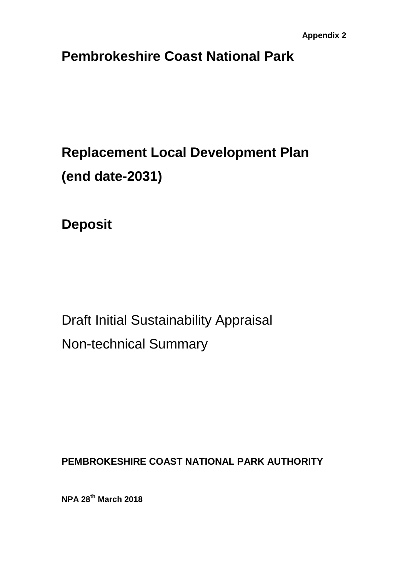## **Pembrokeshire Coast National Park**

# **Replacement Local Development Plan (end date-2031)**

**Deposit**

Draft Initial Sustainability Appraisal Non-technical Summary

**PEMBROKESHIRE COAST NATIONAL PARK AUTHORITY** 

**NPA 28th March 2018**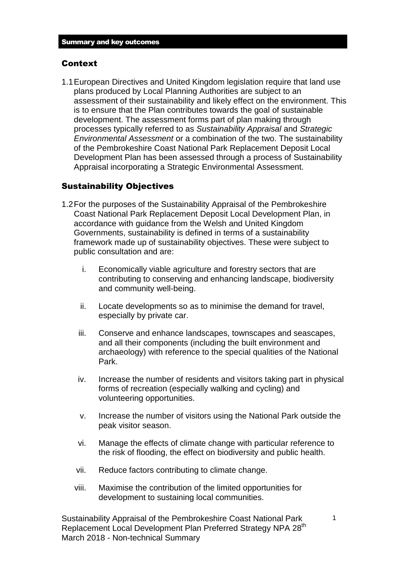#### Context

1.1European Directives and United Kingdom legislation require that land use plans produced by Local Planning Authorities are subject to an assessment of their sustainability and likely effect on the environment. This is to ensure that the Plan contributes towards the goal of sustainable development. The assessment forms part of plan making through processes typically referred to as *Sustainability Appraisal* and *Strategic Environmental Assessment* or a combination of the two. The sustainability of the Pembrokeshire Coast National Park Replacement Deposit Local Development Plan has been assessed through a process of Sustainability Appraisal incorporating a Strategic Environmental Assessment.

#### Sustainability Objectives

- 1.2For the purposes of the Sustainability Appraisal of the Pembrokeshire Coast National Park Replacement Deposit Local Development Plan, in accordance with guidance from the Welsh and United Kingdom Governments, sustainability is defined in terms of a sustainability framework made up of sustainability objectives. These were subject to public consultation and are:
	- i. Economically viable agriculture and forestry sectors that are contributing to conserving and enhancing landscape, biodiversity and community well-being.
	- ii. Locate developments so as to minimise the demand for travel, especially by private car.
	- iii. Conserve and enhance landscapes, townscapes and seascapes, and all their components (including the built environment and archaeology) with reference to the special qualities of the National Park.
	- iv. Increase the number of residents and visitors taking part in physical forms of recreation (especially walking and cycling) and volunteering opportunities.
	- v. Increase the number of visitors using the National Park outside the peak visitor season.
	- vi. Manage the effects of climate change with particular reference to the risk of flooding, the effect on biodiversity and public health.
	- vii. Reduce factors contributing to climate change.
	- viii. Maximise the contribution of the limited opportunities for development to sustaining local communities.

Sustainability Appraisal of the Pembrokeshire Coast National Park Replacement Local Development Plan Preferred Strategy NPA 28<sup>th</sup> March 2018 - Non-technical Summary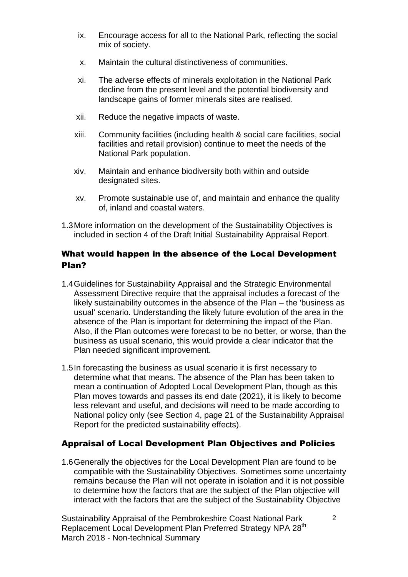- ix. Encourage access for all to the National Park, reflecting the social mix of society.
- x. Maintain the cultural distinctiveness of communities.
- xi. The adverse effects of minerals exploitation in the National Park decline from the present level and the potential biodiversity and landscape gains of former minerals sites are realised.
- xii. Reduce the negative impacts of waste.
- xiii. Community facilities (including health & social care facilities, social facilities and retail provision) continue to meet the needs of the National Park population.
- xiv. Maintain and enhance biodiversity both within and outside designated sites.
- xv. Promote sustainable use of, and maintain and enhance the quality of, inland and coastal waters.
- 1.3More information on the development of the Sustainability Objectives is included in section 4 of the Draft Initial Sustainability Appraisal Report.

#### What would happen in the absence of the Local Development Plan?

- 1.4Guidelines for Sustainability Appraisal and the Strategic Environmental Assessment Directive require that the appraisal includes a forecast of the likely sustainability outcomes in the absence of the Plan – the 'business as usual' scenario. Understanding the likely future evolution of the area in the absence of the Plan is important for determining the impact of the Plan. Also, if the Plan outcomes were forecast to be no better, or worse, than the business as usual scenario, this would provide a clear indicator that the Plan needed significant improvement.
- 1.5In forecasting the business as usual scenario it is first necessary to determine what that means. The absence of the Plan has been taken to mean a continuation of Adopted Local Development Plan, though as this Plan moves towards and passes its end date (2021), it is likely to become less relevant and useful, and decisions will need to be made according to National policy only (see Section 4, page 21 of the Sustainability Appraisal Report for the predicted sustainability effects).

#### Appraisal of Local Development Plan Objectives and Policies

1.6Generally the objectives for the Local Development Plan are found to be compatible with the Sustainability Objectives. Sometimes some uncertainty remains because the Plan will not operate in isolation and it is not possible to determine how the factors that are the subject of the Plan objective will interact with the factors that are the subject of the Sustainability Objective

Sustainability Appraisal of the Pembrokeshire Coast National Park Replacement Local Development Plan Preferred Strategy NPA 28<sup>th</sup> March 2018 - Non-technical Summary